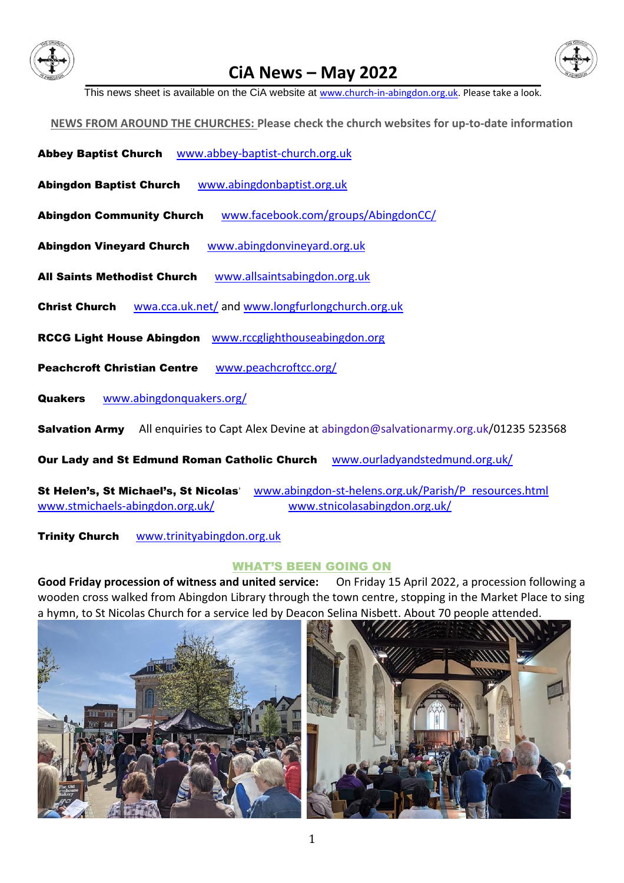

# **CiA News – May 2022**



This news sheet is available on the CiA website at [www.church-in-abingdon.org.uk.](http://www.church-in-abingdon.org.uk/) Please take a look.

**NEWS FROM AROUND THE CHURCHES: Please check the church websites for up-to-date information**

- Abbey Baptist Church [www.abbey-baptist-church.org.uk](http://www.abbey-baptist-church.org.uk/)
- Abingdon Baptist Church [www.abingdonbaptist.org.uk](http://www.abingdonbaptist.org.uk/)
- Abingdon Community Church [www.facebook.com/groups/AbingdonCC/](http://www.facebook.com/groups/AbingdonCC/)
- Abingdon Vineyard Church [www.abingdonvineyard.org.uk](http://www.abingdonvineyard.org.uk/)
- All Saints Methodist Church [www.allsaintsabingdon.org.uk](http://www.allsaintsabingdon.org.uk/)
- Christ Church [wwa.cca.uk.net/](file:///D:/CiA%20GB/CiA%20GB%202022/wwa.cca.uk.net/) and [www.longfurlongchurch.org.uk](http://www.longfurlongchurch.org.uk/)
- RCCG Light House Abingdon [www.](http://www./)[rccglighthouseabingdon.org](http://www.rccglighthouseabingdon.org/)
- Peachcroft Christian Centre [www.peachcroftcc.org/](http://www.peachcroftcc.org/)

Quakers [www.abingdonquakers.org/](http://www.abingdonquakers.org/)

Salvation Army All enquiries to Capt Alex Devine a[t abingdon@salvationarmy.org.uk/](mailto:abingdon@salvationarmy.org.uk)01235 [523568](tel:01235%20523568)

Our Lady and St Edmund Roman Catholic Church [www.ourladyandstedmund.org.uk/](http://www.ourladyandstedmund.org.uk/)

St Helen's, St Michael's, St Nicolas' [www.abingdon-st-helens.org.uk/Parish/P\\_resources.html](http://www.abingdon-st-helens.org.uk/Parish/P_resources.html) [www.stmichaels-abingdon.org.uk/](http://www.stmichaels-abingdon.org.uk/) [www.stnicolasabingdon.org.uk/](http://www.stnicolasabingdon.org.uk/)

Trinity Church [www.trinityabingdon.org.uk](http://www.trinityabingdon.org.uk/)

#### WHAT'S BEEN GOING ON

**Good Friday procession of witness and united service:** On Friday 15 April 2022, a procession following a wooden cross walked from Abingdon Library through the town centre, stopping in the Market Place to sing a hymn, to St Nicolas Church for a service led by Deacon Selina Nisbett. About 70 people attended.

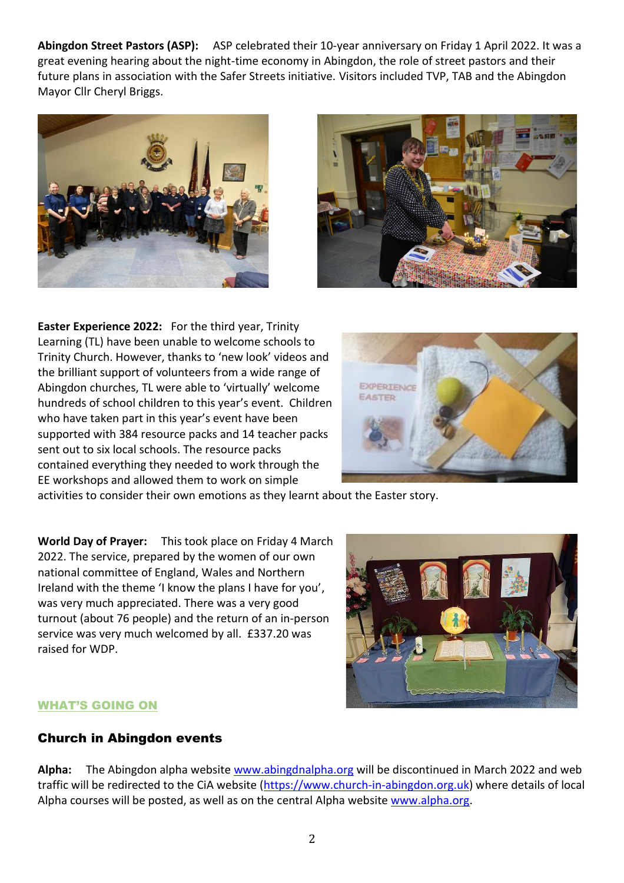**Abingdon Street Pastors (ASP):** ASP celebrated their 10-year anniversary on Friday 1 April 2022. It was a great evening hearing about the night-time economy in Abingdon, the role of street pastors and their future plans in association with the Safer Streets initiative. Visitors included TVP, TAB and the Abingdon Mayor Cllr Cheryl Briggs.





**Easter Experience 2022:** For the third year, Trinity Learning (TL) have been unable to welcome schools to Trinity Church. However, thanks to 'new look' videos and the brilliant support of volunteers from a wide range of Abingdon churches, TL were able to 'virtually' welcome hundreds of school children to this year's event. Children who have taken part in this year's event have been supported with 384 resource packs and 14 teacher packs sent out to six local schools. The resource packs contained everything they needed to work through the EE workshops and allowed them to work on simple



activities to consider their own emotions as they learnt about the Easter story.

**World Day of Prayer:** This took place on Friday 4 March 2022. The service, prepared by the women of our own national committee of England, Wales and Northern Ireland with the theme 'I know the plans I have for you', was very much appreciated. There was a very good turnout (about 76 people) and the return of an in-person service was very much welcomed by all. £337.20 was raised for WDP.



### WHAT'S GOING ON

## Church in Abingdon events

**Alpha:** The Abingdon alpha website [www.abingdnalpha.org](http://www.abingdnalpha.org/) will be discontinued in March 2022 and web traffic will be redirected to the CiA website [\(https://www.church-in-abingdon.org.uk\)](https://www.church-in-abingdon.org.uk/) where details of local Alpha courses will be posted, as well as on the central Alpha website [www.alpha.org.](http://www.alpha.org/)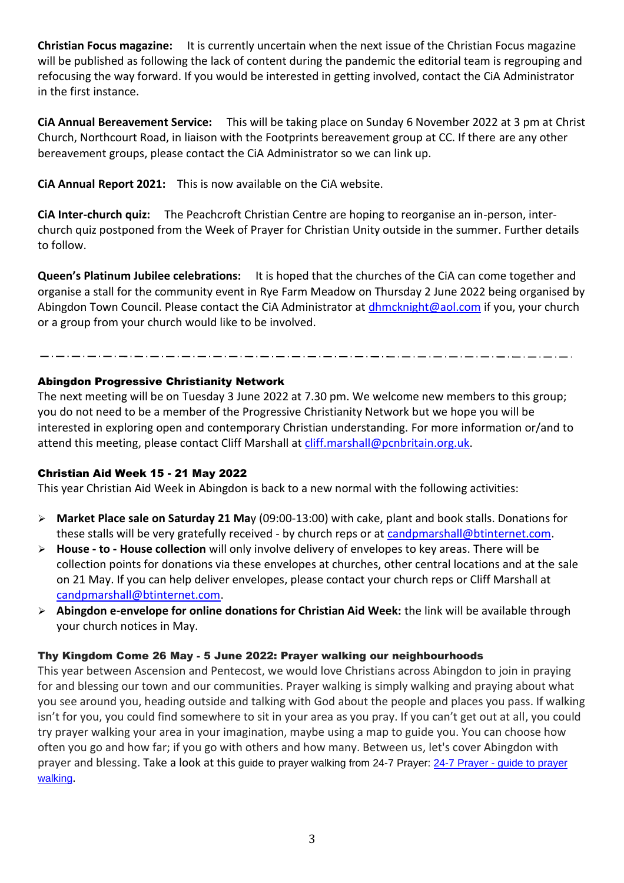**Christian Focus magazine:** It is currently uncertain when the next issue of the Christian Focus magazine will be published as following the lack of content during the pandemic the editorial team is regrouping and refocusing the way forward. If you would be interested in getting involved, contact the CiA Administrator in the first instance.

**CiA Annual Bereavement Service:** This will be taking place on Sunday 6 November 2022 at 3 pm at Christ Church, Northcourt Road, in liaison with the Footprints bereavement group at CC. If there are any other bereavement groups, please contact the CiA Administrator so we can link up.

**CiA Annual Report 2021:** This is now available on the CiA website.

**CiA Inter-church quiz:** The Peachcroft Christian Centre are hoping to reorganise an in-person, interchurch quiz postponed from the Week of Prayer for Christian Unity outside in the summer. Further details to follow.

**Queen's Platinum Jubilee celebrations:** It is hoped that the churches of the CiA can come together and organise a stall for the community event in Rye Farm Meadow on Thursday 2 June 2022 being organised by Abingdon Town Council. Please contact the CiA Administrator at [dhmcknight@aol.com](mailto:dhmcknight@aol.com) if you, your church or a group from your church would like to be involved.

### Abingdon Progressive Christianity Network

The next meeting will be on Tuesday 3 June 2022 at 7.30 pm. We welcome new members to this group; you do not need to be a member of the Progressive Christianity Network but we hope you will be interested in exploring open and contemporary Christian understanding. For more information or/and to attend this meeting, please contact Cliff Marshall at [cliff.marshall@pcnbritain.org.uk.](mailto:cliff.marshall@pcnbritain.org.uk)

### Christian Aid Week 15 - 21 May 2022

This year Christian Aid Week in Abingdon is back to a new normal with the following activities:

- ➢ **Market Place sale on Saturday 21 Ma**y (09:00-13:00) with cake, plant and book stalls. Donations for these stalls will be very gratefully received - by church reps or at [candpmarshall@btinternet.com.](mailto:candpmarshall@btinternet.com)
- ➢ **House - to - House collection** will only involve delivery of envelopes to key areas. There will be collection points for donations via these envelopes at churches, other central locations and at the sale on 21 May. If you can help deliver envelopes, please contact your church reps or Cliff Marshall at [candpmarshall@btinternet.com.](mailto:candpmarshall@btinternet.com)
- ➢ **Abingdon e-envelope for online donations for Christian Aid Week:** the link will be available through your church notices in May.

## Thy Kingdom Come 26 May - 5 June 2022: Prayer walking our neighbourhoods

This year between Ascension and Pentecost, we would love Christians across Abingdon to join in praying for and blessing our town and our communities. Prayer walking is simply walking and praying about what you see around you, heading outside and talking with God about the people and places you pass. If walking isn't for you, you could find somewhere to sit in your area as you pray. If you can't get out at all, you could try prayer walking your area in your imagination, maybe using a map to guide you. You can choose how often you go and how far; if you go with others and how many. Between us, let's cover Abingdon with prayer and blessing. Take a look at this guide to prayer walking from 24-7 Prayer: 24-7 Prayer - [guide to prayer](https://www.24-7prayer.com/prayer_guide/prayer-walking/)  [walking](https://www.24-7prayer.com/prayer_guide/prayer-walking/).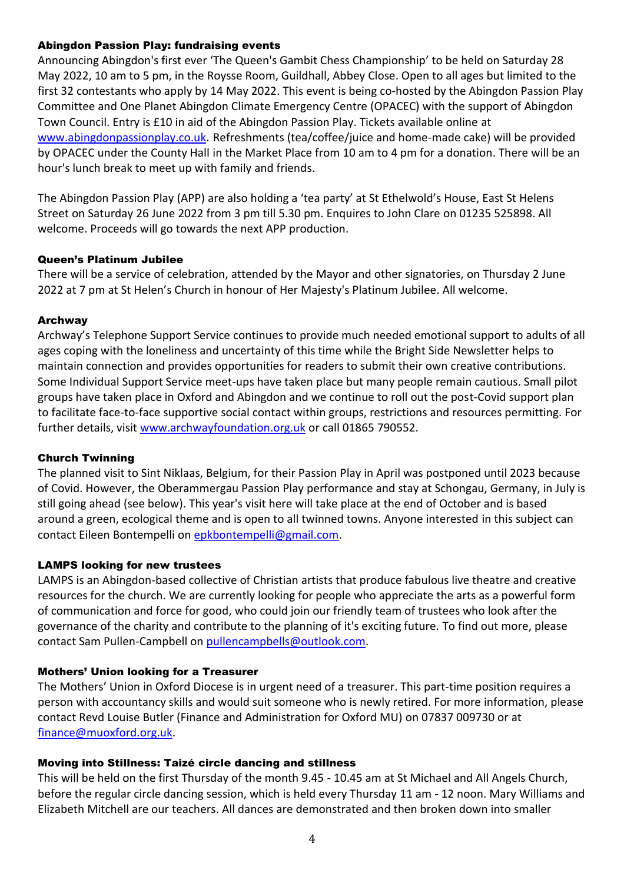#### Abingdon Passion Play: fundraising events

Announcing Abingdon's first ever 'The Queen's Gambit Chess Championship' to be held on Saturday 28 May 2022, 10 am to 5 pm, in the Roysse Room, Guildhall, Abbey Close. Open to all ages but limited to the first 32 contestants who apply by 14 May 2022. This event is being co-hosted by the Abingdon Passion Play Committee and One Planet Abingdon Climate Emergency Centre (OPACEC) with the support of Abingdon Town Council. Entry is £10 in aid of the Abingdon Passion Play. Tickets available online at [www.abingdonpassionplay.co.uk.](http://www.abingdonpassionplay.co.uk/) Refreshments (tea/coffee/juice and home-made cake) will be provided by OPACEC under the County Hall in the Market Place from 10 am to 4 pm for a donation. There will be an hour's lunch break to meet up with family and friends.

The Abingdon Passion Play (APP) are also holding a 'tea party' at St Ethelwold's House, East St Helens Street on Saturday 26 June 2022 from 3 pm till 5.30 pm. Enquires to John Clare on 01235 525898. All welcome. Proceeds will go towards the next APP production.

#### Queen's Platinum Jubilee

There will be a service of celebration, attended by the Mayor and other signatories, on Thursday 2 June 2022 at 7 pm at St Helen's Church in honour of Her Majesty's Platinum Jubilee. All welcome.

#### Archway

Archway's Telephone Support Service continues to provide much needed emotional support to adults of all ages coping with the loneliness and uncertainty of this time while the Bright Side Newsletter helps to maintain connection and provides opportunities for readers to submit their own creative contributions. Some Individual Support Service meet-ups have taken place but many people remain cautious. Small pilot groups have taken place in Oxford and Abingdon and we continue to roll out the post-Covid support plan to facilitate face-to-face supportive social contact within groups, restrictions and resources permitting. For further details, visit [www.archwayfoundation.org.uk](http://www.archwayfoundation.org.uk/) or call 01865 790552.

#### Church Twinning

The planned visit to Sint Niklaas, Belgium, for their Passion Play in April was postponed until 2023 because of Covid. However, the Oberammergau Passion Play performance and stay at Schongau, Germany, in July is still going ahead (see below). This year's visit here will take place at the end of October and is based around a green, ecological theme and is open to all twinned towns. Anyone interested in this subject can contact Eileen Bontempelli on [epkbontempelli@gmail.com.](mailto:epkbontempelli@gmail.com)

### LAMPS looking for new trustees

LAMPS is an Abingdon-based collective of Christian artists that produce fabulous live theatre and creative resources for the church. We are currently looking for people who appreciate the arts as a powerful form of communication and force for good, who could join our friendly team of trustees who look after the governance of the charity and contribute to the planning of it's exciting future. To find out more, please contact Sam Pullen-Campbell on [pullencampbells@outlook.com.](mailto:pullencampbells@outlook.com)

### Mothers' Union looking for a Treasurer

The Mothers' Union in Oxford Diocese is in urgent need of a treasurer. This part-time position requires a person with accountancy skills and would suit someone who is newly retired. For more information, please contact Revd Louise Butler (Finance and Administration for Oxford MU) on 07837 009730 or at [finance@muoxford.org.uk.](mailto:finance@muoxford.org.uk)

### Moving into Stillness: Taizé circle dancing and stillness

This will be held on the first Thursday of the month 9.45 - 10.45 am at St Michael and All Angels Church, before the regular circle dancing session, which is held every Thursday 11 am - 12 noon. Mary Williams and Elizabeth Mitchell are our teachers. All dances are demonstrated and then broken down into smaller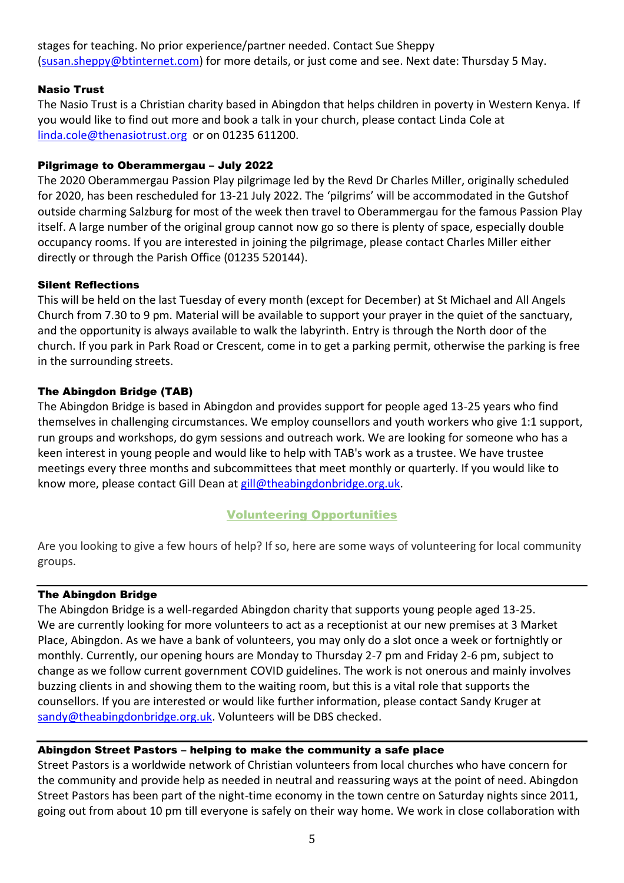stages for teaching. No prior experience/partner needed. Contact Sue Sheppy [\(susan.sheppy@btinternet.com\)](mailto:susan.sheppy@btinternet.com) for more details, or just come and see. Next date: Thursday 5 May.

### Nasio Trust

The Nasio Trust is a Christian charity based in Abingdon that helps children in poverty in Western Kenya. If you would like to find out more and book a talk in your church, please contact Linda Cole at [linda.cole@thenasiotrust.org](mailto:linda.cole@thenasiotrust.org) or on 01235 611200.

### Pilgrimage to Oberammergau – July 2022

The 2020 Oberammergau Passion Play pilgrimage led by the Revd Dr Charles Miller, originally scheduled for 2020, has been rescheduled for 13-21 July 2022. The 'pilgrims' will be accommodated in the Gutshof outside charming Salzburg for most of the week then travel to Oberammergau for the famous Passion Play itself. A large number of the original group cannot now go so there is plenty of space, especially double occupancy rooms. If you are interested in joining the pilgrimage, please contact Charles Miller either directly or through the Parish Office (01235 520144).

### Silent Reflections

This will be held on the last Tuesday of every month (except for December) at St Michael and All Angels Church from 7.30 to 9 pm. Material will be available to support your prayer in the quiet of the sanctuary, and the opportunity is always available to walk the labyrinth. Entry is through the North door of the church. If you park in Park Road or Crescent, come in to get a parking permit, otherwise the parking is free in the surrounding streets.

### The Abingdon Bridge (TAB)

The Abingdon Bridge is based in Abingdon and provides support for people aged 13-25 years who find themselves in challenging circumstances. We employ counsellors and youth workers who give 1:1 support, run groups and workshops, do gym sessions and outreach work. We are looking for someone who has a keen interest in young people and would like to help with TAB's work as a trustee. We have trustee meetings every three months and subcommittees that meet monthly or quarterly. If you would like to know more, please contact Gill Dean at [gill@theabingdonbridge.org.uk.](mailto:gill@theabingdonbridge.org.uk)

## Volunteering Opportunities

Are you looking to give a few hours of help? If so, here are some ways of volunteering for local community groups.

### The Abingdon Bridge

The Abingdon Bridge is a well-regarded Abingdon charity that supports young people aged 13-25. We are currently looking for more volunteers to act as a receptionist at our new premises at 3 Market Place, Abingdon. As we have a bank of volunteers, you may only do a slot once a week or fortnightly or monthly. Currently, our opening hours are Monday to Thursday 2-7 pm and Friday 2-6 pm, subject to change as we follow current government COVID guidelines. The work is not onerous and mainly involves buzzing clients in and showing them to the waiting room, but this is a vital role that supports the counsellors. If you are interested or would like further information, please contact Sandy Kruger at [sandy@theabingdonbridge.org.uk.](mailto:sandy@theabingdonbridge.org.uk) Volunteers will be DBS checked.

### Abingdon Street Pastors – helping to make the community a safe place

Street Pastors is a worldwide network of Christian volunteers from local churches who have concern for the community and provide help as needed in neutral and reassuring ways at the point of need. Abingdon Street Pastors has been part of the night-time economy in the town centre on Saturday nights since 2011, going out from about 10 pm till everyone is safely on their way home. We work in close collaboration with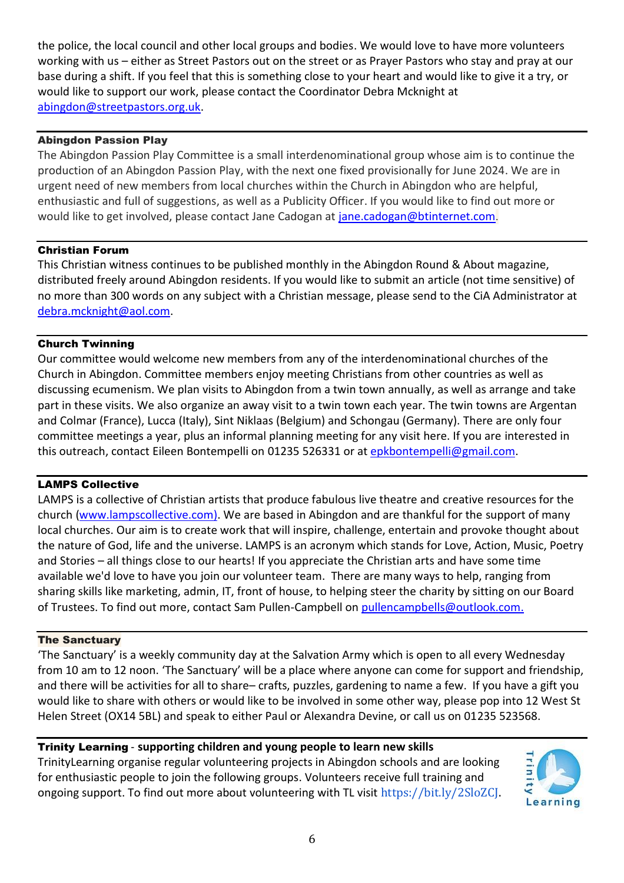the police, the local council and other local groups and bodies. We would love to have more volunteers working with us – either as Street Pastors out on the street or as Prayer Pastors who stay and pray at our base during a shift. If you feel that this is something close to your heart and would like to give it a try, or would like to support our work, please contact the Coordinator Debra Mcknight at [abingdon@streetpastors.org.uk.](mailto:abingdon@streetpastors.org.uk)

#### Abingdon Passion Play

The Abingdon Passion Play Committee is a small interdenominational group whose aim is to continue the production of an Abingdon Passion Play, with the next one fixed provisionally for June 2024. We are in urgent need of new members from local churches within the Church in Abingdon who are helpful, enthusiastic and full of suggestions, as well as a Publicity Officer. If you would like to find out more or would like to get involved, please contact Jane Cadogan at [jane.cadogan@btinternet.com](mailto:jane.cadogan@btinternet.com).

#### Christian Forum

This Christian witness continues to be published monthly in the Abingdon Round & About magazine, distributed freely around Abingdon residents. If you would like to submit an article (not time sensitive) of no more than 300 words on any subject with a Christian message, please send to the CiA Administrator at [debra.mcknight@aol.com.](mailto:debra.mcknight@aol.com)

#### Church Twinning

Our committee would welcome new members from any of the interdenominational churches of the Church in Abingdon. Committee members enjoy meeting Christians from other countries as well as discussing ecumenism. We plan visits to Abingdon from a twin town annually, as well as arrange and take part in these visits. We also organize an away visit to a twin town each year. The twin towns are Argentan and Colmar (France), Lucca (Italy), Sint Niklaas (Belgium) and Schongau (Germany). There are only four committee meetings a year, plus an informal planning meeting for any visit here. If you are interested in this outreach, contact Eileen Bontempelli on 01235 526331 or at [epkbontempelli@gmail.com.](mailto:epkbontempelli@gmail.com)

#### LAMPS Collective

LAMPS is a collective of Christian artists that produce fabulous live theatre and creative resources for the church [\(www.lampscollective.com\)](https://emea01.safelinks.protection.outlook.com/?url=http%3A%2F%2Fwww.lampscollective.com%2F&data=04%7C01%7C%7C2d9f53d910324444ea3a08d9e18c46f3%7C84df9e7fe9f640afb435aaaaaaaaaaaa%7C1%7C0%7C637788814873426445%7CUnknown%7CTWFpbGZsb3d8eyJWIjoiMC4wLjAwMDAiLCJQIjoiV2luMzIiLCJBTiI6Ik1haWwiLCJXVCI6Mn0%3D%7C3000&sdata=bSatCS9bjzD%2Bpgx%2FfwPIl4di7P3TuMh34YoAITyx6cA%3D&reserved=0). We are based in Abingdon and are thankful for the support of many local churches. Our aim is to create work that will inspire, challenge, entertain and provoke thought about the nature of God, life and the universe. LAMPS is an acronym which stands for Love, Action, Music, Poetry and Stories – all things close to our hearts! If you appreciate the Christian arts and have some time available we'd love to have you join our volunteer team. There are many ways to help, ranging from sharing skills like marketing, admin, IT, front of house, to helping steer the charity by sitting on our Board of Trustees. To find out more, contact Sam Pullen-Campbell on [pullencampbells@outlook.com.](mailto:pullencampbells@outlook.com)

#### The Sanctuary

'The Sanctuary' is a weekly community day at the Salvation Army which is open to all every Wednesday from 10 am to 12 noon. 'The Sanctuary' will be a place where anyone can come for support and friendship, and there will be activities for all to share– crafts, puzzles, gardening to name a few. If you have a gift you would like to share with others or would like to be involved in some other way, please pop into 12 West St Helen Street (OX14 5BL) and speak to either Paul or Alexandra Devine, or call us on 01235 523568.

Trinity Learning - **supporting children and young people to learn new skills** 

TrinityLearning organise regular volunteering projects in Abingdon schools and are looking for enthusiastic people to join the following groups. Volunteers receive full training and ongoing support. To find out more about volunteering with TL visit [https://bit.ly/2SloZCJ.](https://bit.ly/2SloZCJ?fbclid=IwAR3mnnVlEcICNFC60v_AtsmPSiMU1eL9gr7oHSqGy5jj3Yh0pkqMae9UB4M)